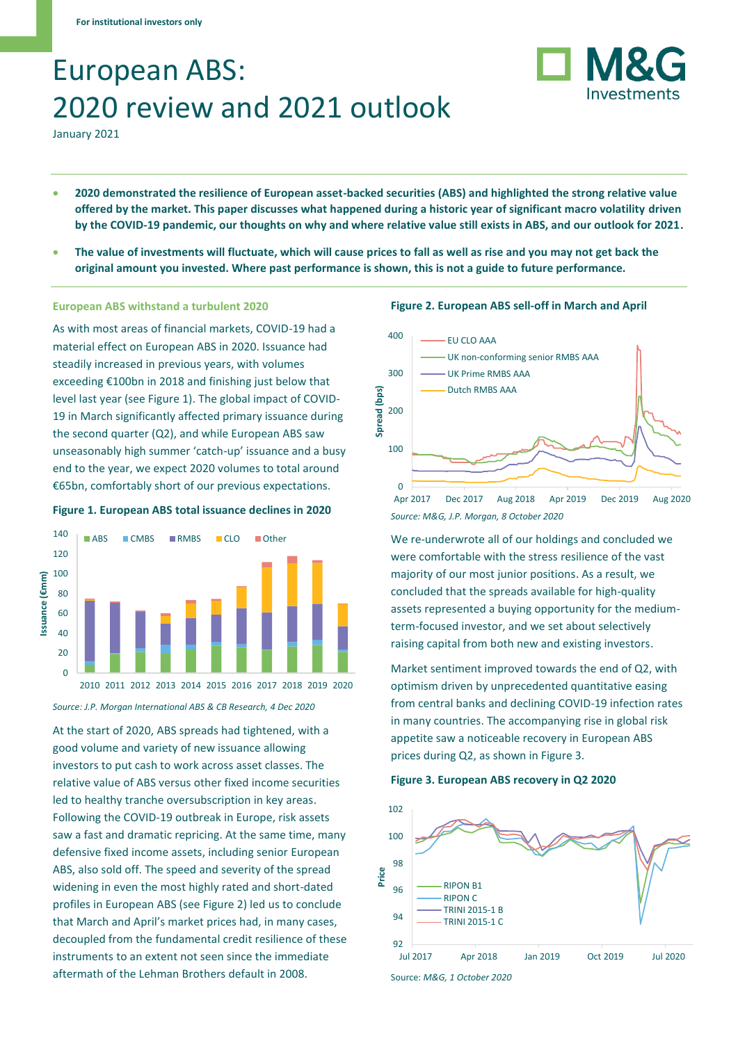# European ABS: 2020 review and 2021 outlook

January 2021

• **2020 demonstrated the resilience of European asset-backed securities (ABS) and highlighted the strong relative value offered by the market. This paper discusses what happened during a historic year of significant macro volatility driven by the COVID-19 pandemic, our thoughts on why and where relative value still exists in ABS, and our outlook for 2021.**

 $\Omega$ 

• **The value of investments will fluctuate, which will cause prices to fall as well as rise and you may not get back the original amount you invested. Where past performance is shown, this is not a guide to future performance.**

# **European ABS withstand a turbulent 2020**

As with most areas of financial markets, COVID-19 had a material effect on European ABS in 2020. Issuance had steadily increased in previous years, with volumes exceeding €100bn in 2018 and finishing just below that level last year (see Figure 1). The global impact of COVID-19 in March significantly affected primary issuance during the second quarter (Q2), and while European ABS saw unseasonably high summer 'catch-up' issuance and a busy end to the year, we expect 2020 volumes to total around €65bn, comfortably short of our previous expectations.





*Source: J.P. Morgan International ABS & CB Research, 4 Dec 2020*

At the start of 2020, ABS spreads had tightened, with a good volume and variety of new issuance allowing investors to put cash to work across asset classes. The relative value of ABS versus other fixed income securities led to healthy tranche oversubscription in key areas. Following the COVID-19 outbreak in Europe, risk assets saw a fast and dramatic repricing. At the same time, many defensive fixed income assets, including senior European ABS, also sold off. The speed and severity of the spread widening in even the most highly rated and short-dated profiles in European ABS (see Figure 2) led us to conclude that March and April's market prices had, in many cases, decoupled from the fundamental credit resilience of these instruments to an extent not seen since the immediate aftermath of the Lehman Brothers default in 2008.



**Figure 2. European ABS sell-off in March and April**

**M&G** 

Investments

*Source: M&G, J.P. Morgan, 8 October 2020* Apr 2017 Dec 2017 Aug 2018 Apr 2019 Dec 2019 Aug 2020

We re-underwrote all of our holdings and concluded we were comfortable with the stress resilience of the vast majority of our most junior positions. As a result, we concluded that the spreads available for high-quality assets represented a buying opportunity for the mediumterm-focused investor, and we set about selectively raising capital from both new and existing investors.

Market sentiment improved towards the end of Q2, with optimism driven by unprecedented quantitative easing from central banks and declining COVID-19 infection rates in many countries. The accompanying rise in global risk appetite saw a noticeable recovery in European ABS prices during Q2, as shown in Figure 3.

#### **Figure 3. European ABS recovery in Q2 2020**

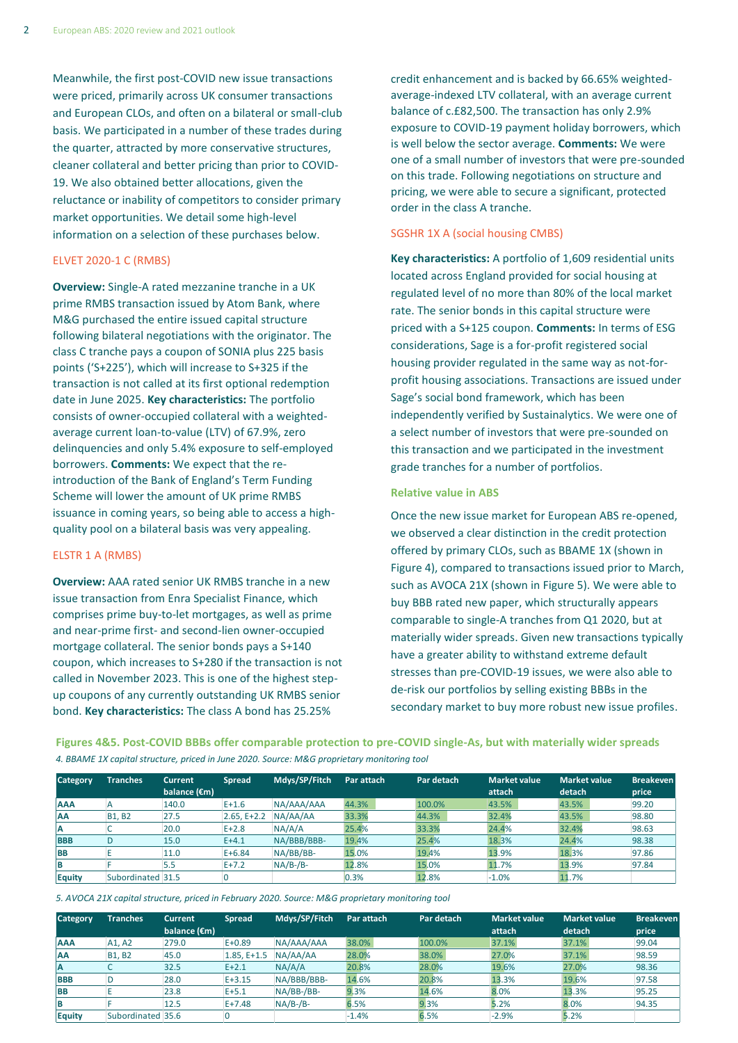Meanwhile, the first post-COVID new issue transactions were priced, primarily across UK consumer transactions and European CLOs, and often on a bilateral or small-club basis. We participated in a number of these trades during the quarter, attracted by more conservative structures, cleaner collateral and better pricing than prior to COVID-19. We also obtained better allocations, given the reluctance or inability of competitors to consider primary market opportunities. We detail some high-level information on a selection of these purchases below.

# ELVET 2020-1 C (RMBS)

**Overview:** Single-A rated mezzanine tranche in a UK prime RMBS transaction issued by Atom Bank, where M&G purchased the entire issued capital structure following bilateral negotiations with the originator. The class C tranche pays a coupon of SONIA plus 225 basis points ('S+225'), which will increase to S+325 if the transaction is not called at its first optional redemption date in June 2025. **Key characteristics:** The portfolio consists of owner-occupied collateral with a weightedaverage current loan-to-value (LTV) of 67.9%, zero delinquencies and only 5.4% exposure to self-employed borrowers. **Comments:** We expect that the reintroduction of the Bank of England's Term Funding Scheme will lower the amount of UK prime RMBS issuance in coming years, so being able to access a highquality pool on a bilateral basis was very appealing.

#### ELSTR 1 A (RMBS)

**Overview:** AAA rated senior UK RMBS tranche in a new issue transaction from Enra Specialist Finance, which comprises prime buy-to-let mortgages, as well as prime and near-prime first- and second-lien owner-occupied mortgage collateral. The senior bonds pays a S+140 coupon, which increases to S+280 if the transaction is not called in November 2023. This is one of the highest stepup coupons of any currently outstanding UK RMBS senior bond. **Key characteristics:** The class A bond has 25.25%

credit enhancement and is backed by 66.65% weightedaverage-indexed LTV collateral, with an average current balance of c.£82,500. The transaction has only 2.9% exposure to COVID-19 payment holiday borrowers, which is well below the sector average. **Comments:** We were one of a small number of investors that were pre-sounded on this trade. Following negotiations on structure and pricing, we were able to secure a significant, protected order in the class A tranche.

# SGSHR 1X A (social housing CMBS)

**Key characteristics:** A portfolio of 1,609 residential units located across England provided for social housing at regulated level of no more than 80% of the local market rate. The senior bonds in this capital structure were priced with a S+125 coupon. **Comments:** In terms of ESG considerations, Sage is a for-profit registered social housing provider regulated in the same way as not-forprofit housing associations. Transactions are issued under Sage's social bond framework, which has been independently verified by Sustainalytics. We were one of a select number of investors that were pre-sounded on this transaction and we participated in the investment grade tranches for a number of portfolios.

#### **Relative value in ABS**

Once the new issue market for European ABS re-opened, we observed a clear distinction in the credit protection offered by primary CLOs, such as BBAME 1X (shown in Figure 4), compared to transactions issued prior to March, such as AVOCA 21X (shown in Figure 5). We were able to buy BBB rated new paper, which structurally appears comparable to single-A tranches from Q1 2020, but at materially wider spreads. Given new transactions typically have a greater ability to withstand extreme default stresses than pre-COVID-19 issues, we were also able to de-risk our portfolios by selling existing BBBs in the secondary market to buy more robust new issue profiles.

**Figures 4&5. Post-COVID BBBs offer comparable protection to pre-COVID single-As, but with materially wider spreads** *4. BBAME 1X capital structure, priced in June 2020. Source: M&G proprietary monitoring tool*

| $\mu$ bo will the capital structure, priced in suite 2020; source, moor proprietary momentum tool |                   |                                          |               |               |            |            |                               |                               |                           |
|---------------------------------------------------------------------------------------------------|-------------------|------------------------------------------|---------------|---------------|------------|------------|-------------------------------|-------------------------------|---------------------------|
| <b>Category</b>                                                                                   | <b>Tranches</b>   | <b>Current</b><br>balance $(\epsilon m)$ | <b>Spread</b> | Mdys/SP/Fitch | Par attach | Par detach | <b>Market value</b><br>attach | <b>Market value</b><br>detach | <b>Breakeven</b><br>price |
| <b>AAA</b>                                                                                        |                   | 140.0                                    | $E+1.6$       | NA/AAA/AAA    | 44.3%      | 100.0%     | 43.5%                         | 43.5%                         | 99.20                     |
| <b>AA</b>                                                                                         | <b>B1, B2</b>     | 27.5                                     | $2.65. E+2.2$ | NA/AA/AA      | 33.3%      | 44.3%      | 32.4%                         | 43.5%                         | 98.80                     |
| ΙA                                                                                                |                   | 20.0                                     | $E+2.8$       | NA/A/A        | 25.4%      | 33.3%      | 24.4%                         | 32.4%                         | 98.63                     |
| <b>BBB</b>                                                                                        | D                 | 15.0                                     | $E + 4.1$     | NA/BBB/BBB-   | 19.4%      | 25.4%      | 18.3%                         | 24.4%                         | 98.38                     |
| <b>BB</b>                                                                                         |                   | 11.0                                     | $E + 6.84$    | NA/BB/BB-     | 15.0%      | 19.4%      | 13.9%                         | 18.3%                         | 97.86                     |
| ΙB                                                                                                |                   | 5.5                                      | $E+7.2$       | $NA/B$ -/B-   | 12.8%      | 15.0%      | 11.7%                         | 13.9%                         | 97.84                     |
| <b>Equity</b>                                                                                     | Subordinated 31.5 |                                          |               |               | 0.3%       | 12.8%      | $-1.0%$                       | 11.7%                         |                           |

*5. AVOCA 21X capital structure, priced in February 2020. Source: M&G proprietary monitoring tool*

| <b>Category</b> | <b>Tranches</b>   | <b>Current</b>         | <b>Spread</b> | Mdys/SP/Fitch | Par attach | Par detach | <b>Market value</b> | <b>Market value</b> | <b>Breakeven</b> |
|-----------------|-------------------|------------------------|---------------|---------------|------------|------------|---------------------|---------------------|------------------|
|                 |                   | balance $(\epsilon m)$ |               |               |            |            | attach              | detach              | price            |
| <b>AAA</b>      | A1, A2            | 279.0                  | $E + 0.89$    | NA/AAA/AAA    | 38.0%      | 100.0%     | 37.1%               | 37.1%               | 99.04            |
| <b>AA</b>       | <b>B1, B2</b>     | 45.0                   | $1.85, E+1.5$ | NA/AA/AA      | 28.0%      | 38.0%      | 27.0%               | 37.1%               | 98.59            |
| ΙA              |                   | 32.5                   | $E + 2.1$     | NA/A/A        | 20.8%      | 28.0%      | 19.6%               | 27.0%               | 98.36            |
| <b>BBB</b>      | D                 | 28.0                   | $E + 3.15$    | NA/BBB/BBB-   | 14.6%      | 20.8%      | 13.3%               | 19.6%               | 97.58            |
| <b>BB</b>       |                   | 23.8                   | $E + 5.1$     | $NA/BB-/BB-$  | 9.3%       | 14.6%      | 8.0%                | 13.3%               | 95.25            |
| B               |                   | 12.5                   | $E+7.48$      | $NA/B$ -/B-   | 6.5%       | 9.3%       | 5.2%                | 8.0%                | 94.35            |
| <b>Equity</b>   | Subordinated 35.6 |                        |               |               | $-1.4%$    | 6.5%       | $-2.9%$             | 5.2%                |                  |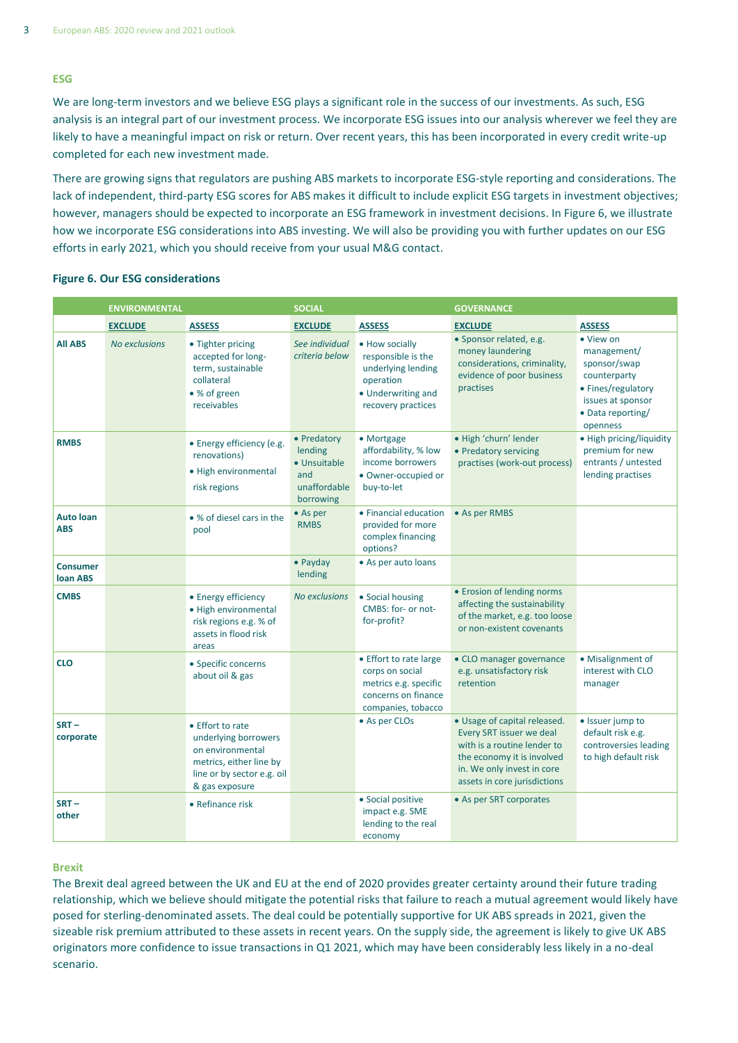# **ESG**

We are long-term investors and we believe ESG plays a significant role in the success of our investments. As such, ESG analysis is an integral part of our investment process. We incorporate ESG issues into our analysis wherever we feel they are likely to have a meaningful impact on risk or return. Over recent years, this has been incorporated in every credit write-up completed for each new investment made.

There are growing signs that regulators are pushing ABS markets to incorporate ESG-style reporting and considerations. The lack of independent, third-party ESG scores for ABS makes it difficult to include explicit ESG targets in investment objectives; however, managers should be expected to incorporate an ESG framework in investment decisions. In Figure 6, we illustrate how we incorporate ESG considerations into ABS investing. We will also be providing you with further updates on our ESG efforts in early 2021, which you should receive from your usual M&G contact.

# **Figure 6. Our ESG considerations**

|                                    | <b>ENVIRONMENTAL</b> |                                                                                                                                         | <b>SOCIAL</b>                                                              |                                                                                                                     | <b>GOVERNANCE</b>                                                                                                                                                                   |                                                                                                                                      |
|------------------------------------|----------------------|-----------------------------------------------------------------------------------------------------------------------------------------|----------------------------------------------------------------------------|---------------------------------------------------------------------------------------------------------------------|-------------------------------------------------------------------------------------------------------------------------------------------------------------------------------------|--------------------------------------------------------------------------------------------------------------------------------------|
|                                    | <b>EXCLUDE</b>       | <b>ASSESS</b>                                                                                                                           | <b>EXCLUDE</b>                                                             | <b>ASSESS</b>                                                                                                       | <b>EXCLUDE</b>                                                                                                                                                                      | <b>ASSESS</b>                                                                                                                        |
| <b>All ABS</b>                     | <b>No exclusions</b> | • Tighter pricing<br>accepted for long-<br>term, sustainable<br>collateral<br>• % of green<br>receivables                               | See individual<br>criteria below                                           | • How socially<br>responsible is the<br>underlying lending<br>operation<br>• Underwriting and<br>recovery practices | · Sponsor related, e.g.<br>money laundering<br>considerations, criminality,<br>evidence of poor business<br>practises                                                               | • View on<br>management/<br>sponsor/swap<br>counterparty<br>• Fines/regulatory<br>issues at sponsor<br>• Data reporting/<br>openness |
| <b>RMBS</b>                        |                      | • Energy efficiency (e.g.<br>renovations)<br>• High environmental<br>risk regions                                                       | • Predatory<br>lending<br>• Unsuitable<br>and<br>unaffordable<br>borrowing | • Mortgage<br>affordability, % low<br>income borrowers<br>· Owner-occupied or<br>buy-to-let                         | · High 'churn' lender<br>• Predatory servicing<br>practises (work-out process)                                                                                                      | • High pricing/liquidity<br>premium for new<br>entrants / untested<br>lending practises                                              |
| <b>Auto loan</b><br><b>ABS</b>     |                      | • % of diesel cars in the<br>pool                                                                                                       | • As per<br><b>RMBS</b>                                                    | • Financial education<br>provided for more<br>complex financing<br>options?                                         | • As per RMBS                                                                                                                                                                       |                                                                                                                                      |
| <b>Consumer</b><br><b>loan ABS</b> |                      |                                                                                                                                         | • Payday<br>lending                                                        | • As per auto loans                                                                                                 |                                                                                                                                                                                     |                                                                                                                                      |
| <b>CMBS</b>                        |                      | • Energy efficiency<br>· High environmental<br>risk regions e.g. % of<br>assets in flood risk<br>areas                                  | <b>No exclusions</b>                                                       | • Social housing<br>CMBS: for- or not-<br>for-profit?                                                               | • Erosion of lending norms<br>affecting the sustainability<br>of the market, e.g. too loose<br>or non-existent covenants                                                            |                                                                                                                                      |
| <b>CLO</b>                         |                      | • Specific concerns<br>about oil & gas                                                                                                  |                                                                            | • Effort to rate large<br>corps on social<br>metrics e.g. specific<br>concerns on finance<br>companies, tobacco     | • CLO manager governance<br>e.g. unsatisfactory risk<br>retention                                                                                                                   | • Misalignment of<br>interest with CLO<br>manager                                                                                    |
| $SRT -$<br>corporate               |                      | • Effort to rate<br>underlying borrowers<br>on environmental<br>metrics, either line by<br>line or by sector e.g. oil<br>& gas exposure |                                                                            | • As per CLOs                                                                                                       | • Usage of capital released.<br>Every SRT issuer we deal<br>with is a routine lender to<br>the economy it is involved<br>in. We only invest in core<br>assets in core jurisdictions | • Issuer jump to<br>default risk e.g.<br>controversies leading<br>to high default risk                                               |
| $SRT -$<br>other                   |                      | • Refinance risk                                                                                                                        |                                                                            | • Social positive<br>impact e.g. SME<br>lending to the real<br>economy                                              | • As per SRT corporates                                                                                                                                                             |                                                                                                                                      |

# **Brexit**

The Brexit deal agreed between the UK and EU at the end of 2020 provides greater certainty around their future trading relationship, which we believe should mitigate the potential risks that failure to reach a mutual agreement would likely have posed for sterling-denominated assets. The deal could be potentially supportive for UK ABS spreads in 2021, given the sizeable risk premium attributed to these assets in recent years. On the supply side, the agreement is likely to give UK ABS originators more confidence to issue transactions in Q1 2021, which may have been considerably less likely in a no-deal scenario.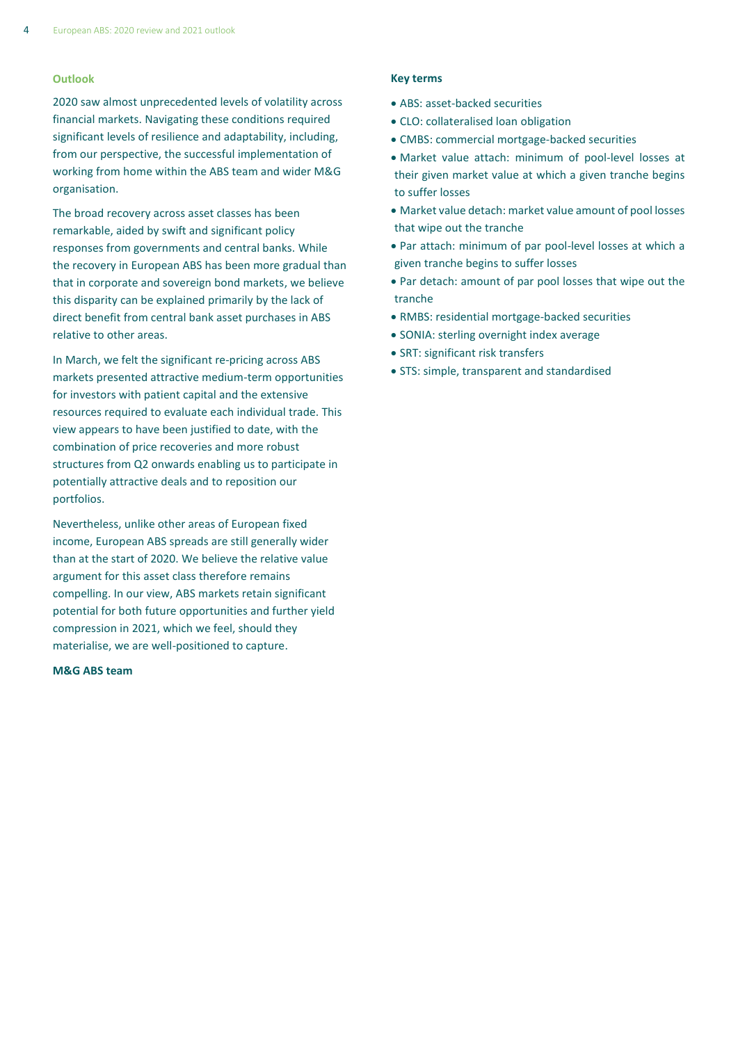#### **Outlook**

2020 saw almost unprecedented levels of volatility across financial markets. Navigating these conditions required significant levels of resilience and adaptability, including, from our perspective, the successful implementation of working from home within the ABS team and wider M&G organisation.

The broad recovery across asset classes has been remarkable, aided by swift and significant policy responses from governments and central banks. While the recovery in European ABS has been more gradual than that in corporate and sovereign bond markets, we believe this disparity can be explained primarily by the lack of direct benefit from central bank asset purchases in ABS relative to other areas.

In March, we felt the significant re-pricing across ABS markets presented attractive medium-term opportunities for investors with patient capital and the extensive resources required to evaluate each individual trade. This view appears to have been justified to date, with the combination of price recoveries and more robust structures from Q2 onwards enabling us to participate in potentially attractive deals and to reposition our portfolios.

Nevertheless, unlike other areas of European fixed income, European ABS spreads are still generally wider than at the start of 2020. We believe the relative value argument for this asset class therefore remains compelling. In our view, ABS markets retain significant potential for both future opportunities and further yield compression in 2021, which we feel, should they materialise, we are well-positioned to capture.

#### **M&G ABS team**

#### **Key terms**

- ABS: asset-backed securities
- CLO: collateralised loan obligation
- CMBS: commercial mortgage-backed securities
- Market value attach: minimum of pool-level losses at their given market value at which a given tranche begins to suffer losses
- Market value detach: market value amount of pool losses that wipe out the tranche
- Par attach: minimum of par pool-level losses at which a given tranche begins to suffer losses
- Par detach: amount of par pool losses that wipe out the tranche
- RMBS: residential mortgage-backed securities
- SONIA: sterling overnight index average
- SRT: significant risk transfers
- STS: simple, transparent and standardised